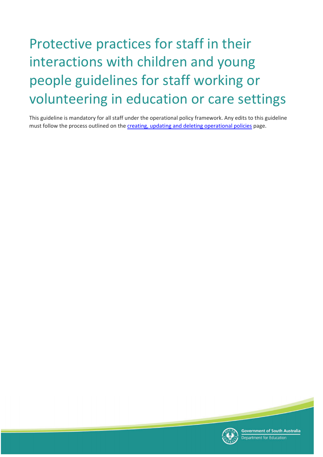# Protective practices for staff in their interactions with children and young people guidelines for staff working or volunteering in education or care settings

This guideline is mandatory for all staff under the operational policy framework. Any edits to this guideline must follow the process outlined on the [creating, updating and deleting operational policies p](https://edi.sa.edu.au/the-department/policies/create-update-and-delete-policies)age.

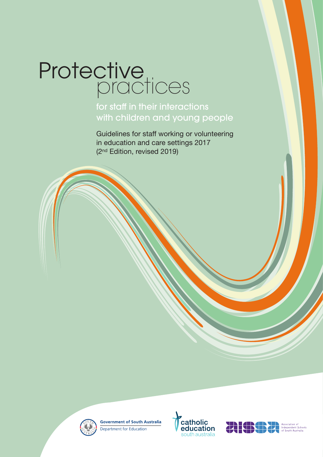# Protective<br>practices

for staff in their interactions with children and young people

Guidelines for staff working or volunteering in education and care settings 2017 (2nd Edition, revised 2019)



**Government of South Australia** Department for Education



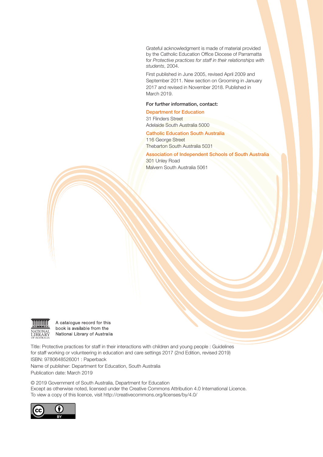Grateful acknowledgment is made of material provided by the Catholic Education Office Diocese of Parramatta for *Protective practices for staff in their relationships with students*, 2004.

First published in June 2005, revised April 2009 and September 2011. New section on Grooming in January 2017 and revised in November 2018. Published in March 2019.

#### For further information, contact:

Department for Education 31 Flinders Street Adelaide South Australia 5000

Catholic Education South Australia 116 George Street Thebarton South Australia 5031

#### Association of Independent Schools of South Australia 301 Unley Road

Malvern South Australia 5061



A catalogue record for this book is available from the National Library of Australia

Title: Protective practices for staff in their interactions with children and young people : Guidelines for staff working or volunteering in education and care settings 2017 (2nd Edition, revised 2019) ISBN: 9780648526001 : Paperback

Name of publisher: Department for Education, South Australia Publication date: March 2019

© 2019 Government of South Australia, Department for Education Except as otherwise noted, licensed under the Creative Commons Attribution 4.0 International Licence. To view a copy of this licence, visit<http://creativecommons.org/licenses/by/4.0/>

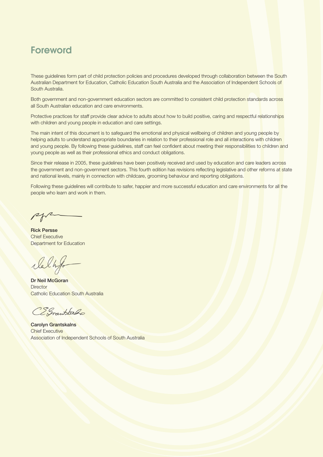# Foreword

These guidelines form part of child protection policies and procedures developed through collaboration between the South Australian Department for Education, Catholic Education South Australia and the Association of Independent Schools of South Australia.

Both government and non-government education sectors are committed to consistent child protection standards across all South Australian education and care environments.

Protective practices for staff provide clear advice to adults about how to build positive, caring and respectful relationships with children and young people in education and care settings.

The main intent of this document is to safeguard the emotional and physical wellbeing of children and young people by helping adults to understand appropriate boundaries in relation to their professional role and all interactions with children and young people. By following these guidelines, staff can feel confident about meeting their responsibilities to children and young people as well as their professional ethics and conduct obligations.

Since their release in 2005, these guidelines have been positively received and used by education and care leaders across the government and non-government sectors. This fourth edition has revisions reflecting legislative and other reforms at state and national levels, mainly in connection with childcare, grooming behaviour and reporting obligations.

Following these guidelines will contribute to safer, happier and more successful education and care environments for all the people who learn and work in them.

Rick Persse Chief Executive Department for Education

elalhy

Dr Neil McGoran **Director Catholic Education South Australia** 

CE Granthalo

Carolyn Grantskalns Chief Executive Association of Independent Schools of South Australia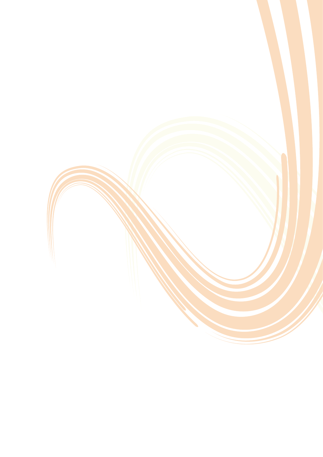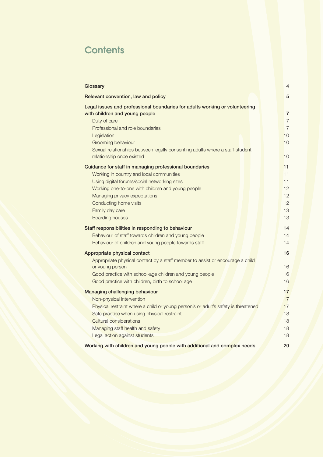# **Contents**

| Glossary                                                                                                      | 4              |
|---------------------------------------------------------------------------------------------------------------|----------------|
| Relevant convention, law and policy                                                                           | 5              |
| Legal issues and professional boundaries for adults working or volunteering<br>with children and young people | 7              |
| Duty of care                                                                                                  | $\overline{7}$ |
| Professional and role boundaries                                                                              | $\overline{7}$ |
| Legislation                                                                                                   | 10             |
| Grooming behaviour                                                                                            | 10             |
| Sexual relationships between legally consenting adults where a staff-student<br>relationship once existed     | 10             |
| Guidance for staff in managing professional boundaries                                                        | 11             |
| Working in country and local communities                                                                      | 11             |
| Using digital forums/social networking sites                                                                  | 11             |
| Working one-to-one with children and young people                                                             | 12             |
| Managing privacy expectations                                                                                 | 12             |
| Conducting home visits                                                                                        | 12             |
| Family day care                                                                                               | 13             |
| <b>Boarding houses</b>                                                                                        | 13             |
| Staff responsibilities in responding to behaviour                                                             | 14             |
| Behaviour of staff towards children and young people                                                          | 14             |
| Behaviour of children and young people towards staff                                                          | 14             |
| Appropriate physical contact                                                                                  | 16             |
| Appropriate physical contact by a staff member to assist or encourage a child                                 |                |
| or young person                                                                                               | 16             |
| Good practice with school-age children and young people                                                       | 16             |
| Good practice with children, birth to school age                                                              | 16             |
| Managing challenging behaviour                                                                                | 17             |
| Non-physical intervention                                                                                     | 17             |
| Physical restraint where a child or young person's or adult's safety is threatened                            | 17             |
| Safe practice when using physical restraint                                                                   | 18             |
| <b>Cultural considerations</b>                                                                                | 18             |
| Managing staff health and safety                                                                              | 18             |
| Legal action against students                                                                                 | 18             |
| Working with children and young people with additional and complex needs                                      | 20             |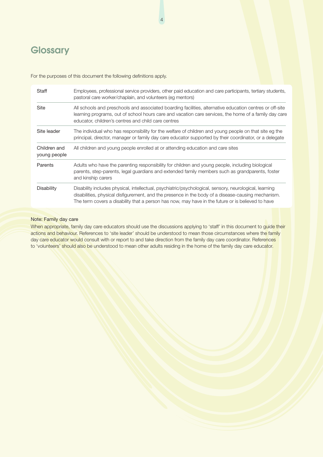# **Glossary**

For the purposes of this document the following definitions apply.

| Staff                        | Employees, professional service providers, other paid education and care participants, tertiary students,<br>pastoral care worker/chaplain, and volunteers (eg mentors)                                                                                                                                           |
|------------------------------|-------------------------------------------------------------------------------------------------------------------------------------------------------------------------------------------------------------------------------------------------------------------------------------------------------------------|
| <b>Site</b>                  | All schools and preschools and associated boarding facilities, alternative education centres or off-site<br>learning programs, out of school hours care and vacation care services, the home of a family day care<br>educator, children's centres and child care centres                                          |
| Site leader                  | The individual who has responsibility for the welfare of children and young people on that site eg the<br>principal, director, manager or family day care educator supported by their coordinator, or a delegate                                                                                                  |
| Children and<br>young people | All children and young people enrolled at or attending education and care sites                                                                                                                                                                                                                                   |
| Parents                      | Adults who have the parenting responsibility for children and young people, including biological<br>parents, step-parents, legal guardians and extended family members such as grandparents, foster<br>and kinship carers                                                                                         |
| Disability                   | Disability includes physical, intellectual, psychiatric/psychological, sensory, neurological, learning<br>disabilities, physical disfigurement, and the presence in the body of a disease-causing mechanism.<br>The term covers a disability that a person has now, may have in the future or is believed to have |

#### Note: Family day care

When appropriate, family day care educators should use the discussions applying to 'staff' in this document to guide their actions and behaviour. References to 'site leader' should be understood to mean those circumstances where the family day care educator would consult with or report to and take direction from the family day care coordinator. References to 'volunteers' should also be understood to mean other adults residing in the home of the family day care educator.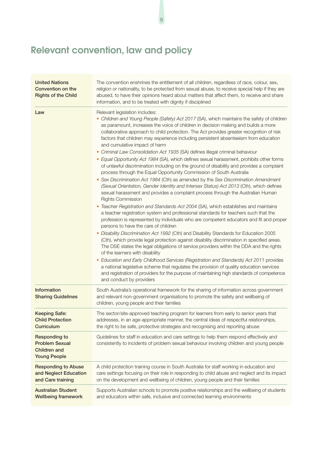5

# Relevant convention, law and policy

| <b>United Nations</b><br>Convention on the<br><b>Rights of the Child</b>             | The convention enshrines the entitlement of all children, regardless of race, colour, sex,<br>religion or nationality, to be protected from sexual abuse, to receive special help if they are<br>abused, to have their opinions heard about matters that affect them, to receive and share<br>information, and to be treated with dignity if disciplined                                                                                                                                                                                                                                                                                                                                                                                                                                                                                                                                                                                                                                                                                                                                                                                                                                                                                                                                                                                                                                                                                                                                                                                                                                                                                                                                                                                                                                                                                                                                                                                                                                                                                          |
|--------------------------------------------------------------------------------------|---------------------------------------------------------------------------------------------------------------------------------------------------------------------------------------------------------------------------------------------------------------------------------------------------------------------------------------------------------------------------------------------------------------------------------------------------------------------------------------------------------------------------------------------------------------------------------------------------------------------------------------------------------------------------------------------------------------------------------------------------------------------------------------------------------------------------------------------------------------------------------------------------------------------------------------------------------------------------------------------------------------------------------------------------------------------------------------------------------------------------------------------------------------------------------------------------------------------------------------------------------------------------------------------------------------------------------------------------------------------------------------------------------------------------------------------------------------------------------------------------------------------------------------------------------------------------------------------------------------------------------------------------------------------------------------------------------------------------------------------------------------------------------------------------------------------------------------------------------------------------------------------------------------------------------------------------------------------------------------------------------------------------------------------------|
| Law                                                                                  | Relevant legislation includes:<br>• Children and Young People (Safety) Act 2017 (SA), which maintains the safety of children<br>as paramount, increases the voice of children in decision making and builds a more<br>collaborative approach to child protection. The Act provides greater recognition of risk<br>factors that children may experience including persistent absenteeism from education<br>and cumulative impact of harm<br>• Criminal Law Consolidation Act 1935 (SA) defines illegal criminal behaviour<br>• Equal Opportunity Act 1984 (SA), which defines sexual harassment, prohibits other forms<br>of unlawful discrimination including on the ground of disability and provides a complaint<br>process through the Equal Opportunity Commission of South Australia<br>• Sex Discrimination Act 1984 (Cth) as amended by the Sex Discrimination Amendment<br>(Sexual Orientation, Gender Identity and Intersex Status) Act 2013 (Cth), which defines<br>sexual harassment and provides a complaint process through the Australian Human<br><b>Rights Commission</b><br>• Teacher Registration and Standards Act 2004 (SA), which establishes and maintains<br>a teacher registration system and professional standards for teachers such that the<br>profession is represented by individuals who are competent educators and fit and proper<br>persons to have the care of children<br>. Disability Discrimination Act 1992 (Cth) and Disability Standards for Education 2005<br>(Cth), which provide legal protection against disability discrimination in specified areas.<br>The DSE states the legal obligations of service providers within the DDA and the rights<br>of the learners with disability<br>• Education and Early Childhood Services (Registration and Standards) Act 2011 provides<br>a national legislative scheme that regulates the provision of quality education services<br>and registration of providers for the purpose of maintaining high standards of competence<br>and conduct by providers |
| Information<br><b>Sharing Guidelines</b>                                             | South Australia's operational framework for the sharing of information across government<br>and relevant non-government organisations to promote the safety and wellbeing of<br>children, young people and their families                                                                                                                                                                                                                                                                                                                                                                                                                                                                                                                                                                                                                                                                                                                                                                                                                                                                                                                                                                                                                                                                                                                                                                                                                                                                                                                                                                                                                                                                                                                                                                                                                                                                                                                                                                                                                         |
| <b>Keeping Safe:</b><br><b>Child Protection</b><br>Curriculum                        | The sector/site-approved teaching program for learners from early to senior years that<br>addresses, in an age-appropriate manner, the central ideas of respectful relationships,<br>the right to be safe, protective strategies and recognising and reporting abuse                                                                                                                                                                                                                                                                                                                                                                                                                                                                                                                                                                                                                                                                                                                                                                                                                                                                                                                                                                                                                                                                                                                                                                                                                                                                                                                                                                                                                                                                                                                                                                                                                                                                                                                                                                              |
| <b>Responding to</b><br><b>Problem Sexual</b><br>Children and<br><b>Young People</b> | Guidelines for staff in education and care settings to help them respond effectively and<br>consistently to incidents of problem sexual behaviour involving children and young people                                                                                                                                                                                                                                                                                                                                                                                                                                                                                                                                                                                                                                                                                                                                                                                                                                                                                                                                                                                                                                                                                                                                                                                                                                                                                                                                                                                                                                                                                                                                                                                                                                                                                                                                                                                                                                                             |
| <b>Responding to Abuse</b><br>and Neglect Education<br>and Care training             | A child protection training course in South Australia for staff working in education and<br>care settings focusing on their role in responding to child abuse and neglect and its impact<br>on the development and wellbeing of children, young people and their families                                                                                                                                                                                                                                                                                                                                                                                                                                                                                                                                                                                                                                                                                                                                                                                                                                                                                                                                                                                                                                                                                                                                                                                                                                                                                                                                                                                                                                                                                                                                                                                                                                                                                                                                                                         |
| <b>Australian Student</b><br><b>Wellbeing framework</b>                              | Supports Australian schools to promote positive relationships and the wellbeing of students<br>and educators within safe, inclusive and connected learning environments                                                                                                                                                                                                                                                                                                                                                                                                                                                                                                                                                                                                                                                                                                                                                                                                                                                                                                                                                                                                                                                                                                                                                                                                                                                                                                                                                                                                                                                                                                                                                                                                                                                                                                                                                                                                                                                                           |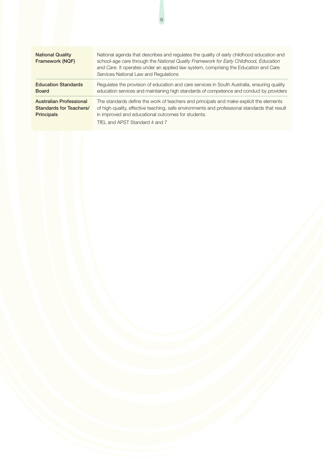| <b>National Quality</b><br>Framework (NQF)                              | National agenda that describes and regulates the quality of early childhood education and<br>school-age care through the National Quality Framework for Early Childhood, Education<br>and Care. It operates under an applied law system, comprising the Education and Care<br>Services National Law and Regulations |
|-------------------------------------------------------------------------|---------------------------------------------------------------------------------------------------------------------------------------------------------------------------------------------------------------------------------------------------------------------------------------------------------------------|
| <b>Education Standards</b><br><b>Board</b>                              | Regulates the provision of education and care services in South Australia, ensuring quality<br>education services and maintaining high standards of competence and conduct by providers                                                                                                                             |
| Australian Professional<br>Standards for Teachers/<br><b>Principals</b> | The standards define the work of teachers and principals and make explicit the elements<br>of high-quality, effective teaching, safe environments and professional standards that result<br>in improved and educational outcomes for students.<br>TfEL and APST Standard 4 and 7                                    |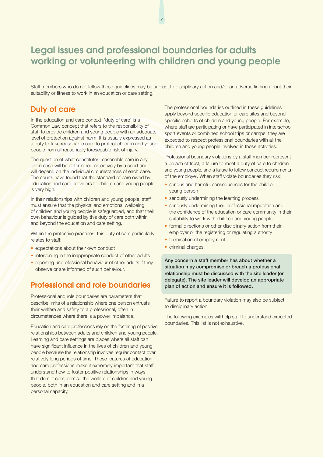# Legal issues and professional boundaries for adults working or volunteering with children and young people

Staff members who do not follow these guidelines may be subject to disciplinary action and/or an adverse finding about their suitability or fitness to work in an education or care setting.

### Duty of care

In the education and care context, 'duty of care' is a Common Law concept that refers to the responsibility of staff to provide children and young people with an adequate level of protection against harm. It is usually expressed as a duty to take reasonable care to protect children and young people from all reasonably foreseeable risk of injury.

The question of what constitutes reasonable care in any given case will be determined objectively by a court and will depend on the individual circumstances of each case. The courts have found that the standard of care owed by education and care providers to children and young people is very high.

In their relationships with children and young people, staff must ensure that the physical and emotional wellbeing of children and young people is safeguarded, and that their own behaviour is guided by this duty of care both within and beyond the education and care setting.

Within the protective practices, this duty of care particularly relates to staff:

- expectations about their own conduct
- intervening in the inappropriate conduct of other adults
- reporting unprofessional behaviour of other adults if they observe or are informed of such behaviour.

## Professional and role boundaries

Professional and role boundaries are parameters that describe limits of a relationship where one person entrusts their welfare and safety to a professional, often in circumstances where there is a power imbalance.

Education and care professions rely on the fostering of positive relationships between adults and children and young people. Learning and care settings are places where all staff can have significant influence in the lives of children and young people because the relationship involves regular contact over relatively long periods of time. These features of education and care professions make it extremely important that staff understand how to foster positive relationships in ways that do not compromise the welfare of children and young people, both in an education and care setting and in a personal capacity.

The professional boundaries outlined in these guidelines apply beyond specific education or care sites and beyond specific cohorts of children and young people. For example, where staff are participating or have participated in interschool sport events or combined school trips or camps, they are expected to respect professional boundaries with all the children and young people involved in those activities.

Professional boundary violations by a staff member represent a breach of trust, a failure to meet a duty of care to children and young people, and a failure to follow conduct requirements of the employer. When staff violate boundaries they risk:

- serious and harmful consequences for the child or young person
- seriously undermining the learning process
- seriously undermining their professional reputation and the confidence of the education or care community in their suitability to work with children and young people
- formal directions or other disciplinary action from their employer or the registering or regulating authority
- termination of employment
- criminal charges.

Any concern a staff member has about whether a situation may compromise or breach a professional relationship must be discussed with the site leader (or delegate). The site leader will develop an appropriate plan of action and ensure it is followed.

Failure to report a boundary violation may also be subject to disciplinary action.

The following examples will help staff to understand expected boundaries. This list is not exhaustive.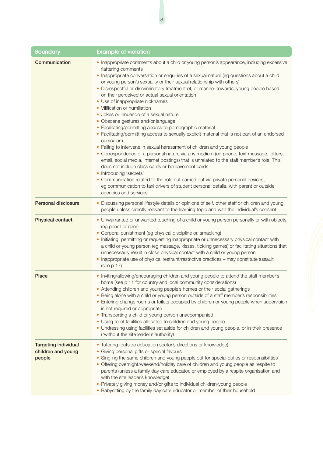| <b>Boundary</b>                                             | <b>Example of violation</b>                                                                                                                                                                                                                                                                                                                                                                                                                                                                                                                                                                                                                                                                                                                                                                                                                                                                                                                                                                                                                                                                                                                                                                                                                                                                                                  |
|-------------------------------------------------------------|------------------------------------------------------------------------------------------------------------------------------------------------------------------------------------------------------------------------------------------------------------------------------------------------------------------------------------------------------------------------------------------------------------------------------------------------------------------------------------------------------------------------------------------------------------------------------------------------------------------------------------------------------------------------------------------------------------------------------------------------------------------------------------------------------------------------------------------------------------------------------------------------------------------------------------------------------------------------------------------------------------------------------------------------------------------------------------------------------------------------------------------------------------------------------------------------------------------------------------------------------------------------------------------------------------------------------|
| Communication                                               | • Inappropriate comments about a child or young person's appearance, including excessive<br>flattering comments<br>. Inappropriate conversation or enquiries of a sexual nature (eg questions about a child<br>or young person's sexuality or their sexual relationship with others)<br>• Disrespectful or discriminatory treatment of, or manner towards, young people based<br>on their perceived or actual sexual orientation<br>• Use of inappropriate nicknames<br>• Vilification or humiliation<br>• Jokes or innuendo of a sexual nature<br>• Obscene gestures and/or language<br>• Facilitating/permitting access to pornographic material<br>• Facilitating/permitting access to sexually explicit material that is not part of an endorsed<br>curriculum<br>• Failing to intervene in sexual harassment of children and young people<br>• Correspondence of a personal nature via any medium (eg phone, text message, letters,<br>email, social media, internet postings) that is unrelated to the staff member's role. This<br>does not include class cards or bereavement cards<br>• Introducing 'secrets'<br>• Communication related to the role but carried out via private personal devices,<br>eg communication to taxi drivers of student personal details, with parent or outside<br>agencies and services |
| <b>Personal disclosure</b>                                  | • Discussing personal lifestyle details or opinions of self, other staff or children and young<br>people unless directly relevant to the learning topic and with the individual's consent                                                                                                                                                                                                                                                                                                                                                                                                                                                                                                                                                                                                                                                                                                                                                                                                                                                                                                                                                                                                                                                                                                                                    |
| <b>Physical contact</b>                                     | • Unwarranted or unwanted touching of a child or young person personally or with objects<br>(eg pencil or ruler)<br>• Corporal punishment (eg physical discipline or, smacking)<br>• Initiating, permitting or requesting inappropriate or unnecessary physical contact with<br>a child or young person (eg massage, kisses, tickling games) or facilitating situations that<br>unnecessarily result in close physical contact with a child or young person<br>• Inappropriate use of physical restraint/restrictive practices - may constitute assault<br>(see p 17)                                                                                                                                                                                                                                                                                                                                                                                                                                                                                                                                                                                                                                                                                                                                                        |
| Place                                                       | • Inviting/allowing/encouraging children and young people to attend the staff member's<br>home (see p 11 for country and local community considerations)<br>• Attending children and young people's homes or their social gatherings<br>Being alone with a child or young person outside of a staff member's responsibilities<br>• Entering change rooms or toilets occupied by children or young people when supervision<br>is not required or appropriate<br>• Transporting a child or young person unaccompanied<br>• Using toilet facilities allocated to children and young people<br>• Undressing using facilities set aside for children and young people, or in their presence<br>(*without the site leader's authority)                                                                                                                                                                                                                                                                                                                                                                                                                                                                                                                                                                                             |
| <b>Targeting individual</b><br>children and young<br>people | • Tutoring (outside education sector's directions or knowledge)<br>Giving personal gifts or special favours<br>٠<br>• Singling the same children and young people out for special duties or responsibilities<br>• Offering overnight/weekend/holiday care of children and young people as respite to<br>parents (unless a family day care educator, or employed by a respite organisation and<br>with the site leader's knowledge)<br>• Privately giving money and/or gifts to individual children/young people<br>Babysitting by the family day care educator or member of their household<br>٠                                                                                                                                                                                                                                                                                                                                                                                                                                                                                                                                                                                                                                                                                                                             |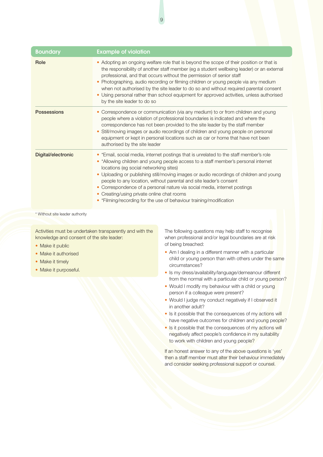| <b>Boundary</b>    | <b>Example of violation</b>                                                                                                                                                                                                                                                                                                                                                                                                                                                                                                                                                                |
|--------------------|--------------------------------------------------------------------------------------------------------------------------------------------------------------------------------------------------------------------------------------------------------------------------------------------------------------------------------------------------------------------------------------------------------------------------------------------------------------------------------------------------------------------------------------------------------------------------------------------|
| Role               | • Adopting an ongoing welfare role that is beyond the scope of their position or that is<br>the responsibility of another staff member (eg a student wellbeing leader) or an external<br>professional, and that occurs without the permission of senior staff<br>• Photographing, audio recording or filming children or young people via any medium<br>when not authorised by the site leader to do so and without required parental consent<br>• Using personal rather than school equipment for approved activities, unless authorised<br>by the site leader to do so                   |
| Possessions        | • Correspondence or communication (via any medium) to or from children and young<br>people where a violation of professional boundaries is indicated and where the<br>correspondence has not been provided to the site leader by the staff member<br>• Still/moving images or audio recordings of children and young people on personal<br>equipment or kept in personal locations such as car or home that have not been<br>authorised by the site leader                                                                                                                                 |
| Digital/electronic | • *Email, social media, internet postings that is unrelated to the staff member's role<br>• * Allowing children and young people access to a staff member's personal internet<br>locations (eg social networking sites)<br>• Uploading or publishing still/moving images or audio recordings of children and young<br>people to any location, without parental and site leader's consent<br>• Correspondence of a personal nature via social media, internet postings<br>• Creating/using private online chat rooms<br>• *Filming/recording for the use of behaviour training/modification |

\* Without site leader authority

Activities must be undertaken transparently and with the knowledge and consent of the site leader:

- Make it public
- Make it authorised
- Make it timely
- Make it purposeful.

The following questions may help staff to recognise when professional and/or legal boundaries are at risk of being breached:

- Am I dealing in a different manner with a particular child or young person than with others under the same circumstances?
- Is my dress/availability/language/demeanour different from the normal with a particular child or young person?
- Would I modify my behaviour with a child or young person if a colleague were present?
- Would I judge my conduct negatively if I observed it in another adult?
- Is it possible that the consequences of my actions will have negative outcomes for children and young people?
- Is it possible that the consequences of my actions will negatively affect people's confidence in my suitability to work with children and young people?

If an honest answer to any of the above questions is 'yes' then a staff member must alter their behaviour immediately and consider seeking professional support or counsel.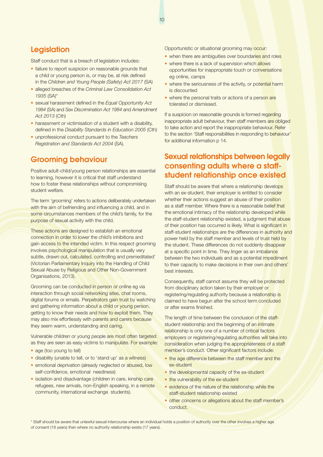# Legislation

Staff conduct that is a breach of legislation includes:

- failure to report suspicion on reasonable grounds that a child or young person is, or may be, at risk defined in the *Children and Young People (Safety) Act 2017* (SA)
- alleged breaches of the *Criminal Law Consolidation Act 1935* (SA)\*
- sexual harassment defined in the *Equal Opportunity Act 1984* (SA) and *Sex Discrimination Act 1984* and *Amendment Act 2013* (Cth)
- harassment or victimisation of a student with a disability. defined in the *Disability Standards in Education 2005* (Cth)
- unprofessional conduct pursuant to the *Teachers Registration and Standards Act 2004* (SA).

# Grooming behaviour

Positive adult-child/young person relationships are essential to learning, however it is critical that staff understand how to foster these relationships without compromising student welfare.

The term 'grooming' refers to actions deliberately undertaken with the aim of befriending and influencing a child, and in some circumstances members of the child's family, for the purpose of sexual activity with the child.

These actions are designed to establish an emotional connection in order to lower the child's inhibitions and gain access to the intended victim. In this respect grooming involves psychological manipulation that is usually very subtle, drawn out, calculated, controlling and premeditated' (Victorian Parliamentary Inquiry into the Handling of Child Sexual Abuse by Religious and Other Non-Government Organisations, 2013).

Grooming can be conducted in person or online eg via interaction through social networking sites, chat rooms, digital forums or emails. Perpetrators gain trust by watching and gathering information about a child or young person, getting to know their needs and how to exploit them. They may also mix effortlessly with parents and carers because they seem warm, understanding and caring.

Vulnerable children or young people are most often targeted as they are seen as easy victims to manipulate. For example:

- age (too young to tell)
- disability (unable to tell, or to 'stand up' as a witness)
- emotional deprivation (already neglected or abused, low self-confidence, emotional neediness)
- isolation and disadvantage (children in care, kinship care refugees, new arrivals, non-English speaking, in a remote community, international exchange students).

Opportunistic or situational grooming may occur:

- when there are ambiguities over boundaries and roles
- where there is a lack of supervision which allows opportunities for inappropriate touch or conversations eg online, camps
- where the seriousness of the activity, or potential harm is discounted
- where the personal traits or actions of a person are tolerated or dismissed.

If a suspicion on reasonable grounds is formed regarding inappropriate adult behaviour, then staff members are obliged to take action and report the inappropriate behaviour. Refer to the section 'Staff responsibilities in responding to behaviour' for additional information p 14.

# Sexual relationships between legally consenting adults where a staffstudent relationship once existed

Staff should be aware that where a relationship develops with an ex-student, their employer is entitled to consider whether their actions suggest an abuse of their position as a staff member. Where there is a reasonable belief that the emotional intimacy of the relationship developed while the staff-student relationship existed, a judgment that abuse of their position has occurred is likely. What is significant in staff-student relationships are the differences in authority and power held by the staff member and levels of trust held by the student. These differences do not suddenly disappear at a specific point in time. They linger as an imbalance between the two individuals and as a potential impediment to their capacity to make decisions in their own and others' best interests.

Consequently, staff cannot assume they will be protected from disciplinary action taken by their employer or registering/regulating authority because a relationship is claimed to have begun after the school term concluded or after exams finished.

The length of time between the conclusion of the staffstudent relationship and the beginning of an intimate relationship is only one of a number of critical factors employers or registering/regulating authorities will take into consideration when judging the appropriateness of a staff member's conduct. Other significant factors include:

- the age difference between the staff member and the ex-student
- the developmental capacity of the ex-student
- the vulnerability of the ex-student
- evidence of the nature of the relationship while the staff-student relationship existed
- other concerns or allegations about the staff member's conduct.

\* Staff should be aware that unlawful sexual intercourse where an individual holds a position of authority over the other involves a higher age of consent (18 years) than where no authority relationship exists (17 years).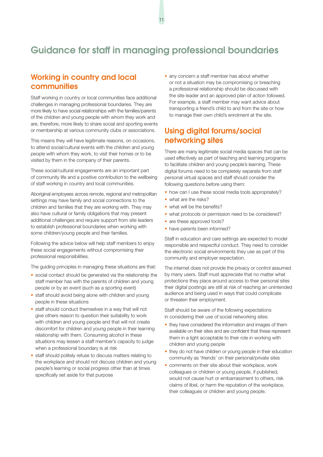# Guidance for staff in managing professional boundaries

# Working in country and local communities

Staff working in country or local communities face additional challenges in managing professional boundaries. They are more likely to have social relationships with the families/parents of the children and young people with whom they work and are, therefore, more likely to share social and sporting events or membership at various community clubs or associations.

This means they will have legitimate reasons, on occasions, to attend social/cultural events with the children and young people with whom they work, to visit their homes or to be visited by them in the company of their parents.

These social/cultural engagements are an important part of community life and a positive contribution to the wellbeing of staff working in country and local communities.

Aboriginal employees across remote, regional and metropolitan settings may have family and social connections to the children and families that they are working with. They may also have cultural or family obligations that may present additional challenges and require support from site leaders to establish professional boundaries when working with some children/young people and their families.

Following the advice below will help staff members to enjoy these social engagements without compromising their professional responsibilities.

The guiding principles in managing these situations are that:

- social contact should be generated via the relationship the staff member has with the parents of children and young people or by an event (such as a sporting event)
- staff should avoid being alone with children and young people in these situations
- staff should conduct themselves in a way that will not give others reason to question their suitability to work with children and young people and that will not create discomfort for children and young people in their learning relationship with them. Consuming alcohol in these situations may lessen a staff member's capacity to judge when a professional boundary is at risk
- staff should politely refuse to discuss matters relating to the workplace and should not discuss children and young people's learning or social progress other than at times specifically set aside for that purpose

• any concern a staff member has about whether or not a situation may be compromising or breaching a professional relationship should be discussed with the site leader and an approved plan of action followed. For example, a staff member may want advice about transporting a friend's child to and from the site or how to manage their own child's enrolment at the site.

# Using digital forums/social networking sites

There are many legitimate social media spaces that can be used effectively as part of teaching and learning programs to facilitate children and young people's learning. These digital forums need to be completely separate from staff personal virtual spaces and staff should consider the following questions before using them:

- how can I use these social media tools appropriately?
- what are the risks?
- what will be the benefits?
- what protocols or permission need to be considered?
- are these approved tools?
- have parents been informed?

Staff in education and care settings are expected to model responsible and respectful conduct. They need to consider the electronic social environments they use as part of this community and employer expectation.

The internet does not provide the privacy or control assumed by many users. Staff must appreciate that no matter what protections they place around access to their personal sites their digital postings are still at risk of reaching an unintended audience and being used in ways that could complicate or threaten their employment.

Staff should be aware of the following expectations in considering their use of social networking sites:

- they have considered the information and images of them available on their sites and are confident that these represent them in a light acceptable to their role in working with children and young people
- they do not have children or young people in their education community as 'friends' on their personal/private sites
- comments on their site about their workplace, work colleagues or children or young people, if published, would not cause hurt or embarrassment to others, risk claims of libel, or harm the reputation of the workplace, their colleagues or children and young people.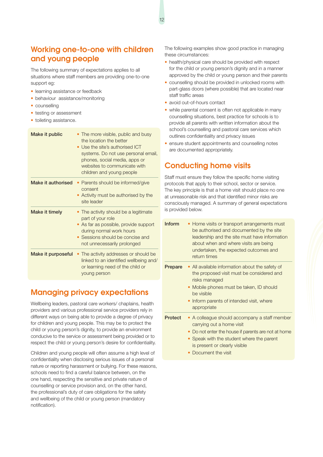# Working one-to-one with children and young people

The following summary of expectations applies to all situations where staff members are providing one-to-one support eg:

- learning assistance or feedback
- behaviour assistance/monitoring
- counselling
- testing or assessment
- toileting assistance.

| Make it public     | • The more visible, public and busy<br>the location the better<br>• Use the site's authorised ICT<br>systems. Do not use personal email,<br>phones, social media, apps or<br>websites to communicate with<br>children and young people |
|--------------------|----------------------------------------------------------------------------------------------------------------------------------------------------------------------------------------------------------------------------------------|
| Make it authorised | Parents should be informed/give<br>consent<br>• Activity must be authorised by the<br>site leader                                                                                                                                      |
| Make it timely     | • The activity should be a legitimate<br>part of your role<br>As far as possible, provide support<br>during normal work hours<br>• Sessions should be concise and<br>not unnecessarily prolonged                                       |
| Make it purposeful | The activity addresses or should be<br>linked to an identified wellbeing and/<br>or learning need of the child or<br>young person                                                                                                      |

# Managing privacy expectations

Wellbeing leaders, pastoral care workers/ chaplains, health providers and various professional service providers rely in different ways on being able to provide a degree of privacy for children and young people. This may be to protect the child or young person's dignity, to provide an environment conducive to the service or assessment being provided or to respect the child or young person's desire for confidentiality.

Children and young people will often assume a high level of confidentiality when disclosing serious issues of a personal nature or reporting harassment or bullying. For these reasons, schools need to find a careful balance between, on the one hand, respecting the sensitive and private nature of counselling or service provision and, on the other hand, the professional's duty of care obligations for the safety and wellbeing of the child or young person (mandatory notification).

The following examples show good practice in managing these circumstances:

- health/physical care should be provided with respect for the child or young person's dignity and in a manner approved by the child or young person and their parents
- counselling should be provided in unlocked rooms with part-glass doors (where possible) that are located near staff traffic areas
- avoid out-of-hours contact
- while parental consent is often not applicable in many counselling situations, best practice for schools is to provide all parents with written information about the school's counselling and pastoral care services which outlines confidentiality and privacy issues
- ensure student appointments and counselling notes are documented appropriately.

# Conducting home visits

Staff must ensure they follow the specific home visiting protocols that apply to their school, sector or service. The key principle is that a home visit should place no one at unreasonable risk and that identified minor risks are consciously managed. A summary of general expectations is provided below.

| Inform  | • Home visits or transport arrangements must<br>be authorised and documented by the site<br>leadership and the site must have information<br>about when and where visits are being<br>undertaken, the expected outcomes and<br>return times |
|---------|---------------------------------------------------------------------------------------------------------------------------------------------------------------------------------------------------------------------------------------------|
| Prepare | • All available information about the safety of<br>the proposed visit must be considered and<br>risks managed<br>• Mobile phones must be taken, ID should<br>be visible<br>• Inform parents of intended visit, where<br>appropriate         |
| Protect | • A colleague should accompany a staff member<br>carrying out a home visit<br>• Do not enter the house if parents are not at home<br>• Speak with the student where the parent<br>is present or clearly visible<br>Document the visit       |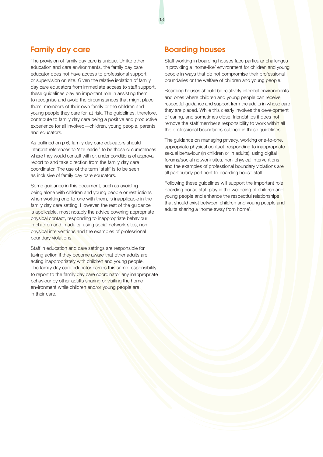## Family day care

The provision of family day care is unique. Unlike other education and care environments, the family day care educator does not have access to professional support or supervision on site. Given the relative isolation of family day care educators from immediate access to staff support, these guidelines play an important role in assisting them to recognise and avoid the circumstances that might place them, members of their own family or the children and young people they care for, at risk. The guidelines, therefore, contribute to family day care being a positive and productive experience for all involved—children, young people, parents and educators.

As outlined on p 6, family day care educators should interpret references to 'site leader' to be those circumstances where they would consult with or, under conditions of approval, report to and take direction from the family day care coordinator. The use of the term 'staff' is to be seen as inclusive of family day care educators.

Some guidance in this document, such as avoiding being alone with children and young people or restrictions when working one-to-one with them, is inapplicable in the family day care setting. However, the rest of the guidance is applicable, most notably the advice covering appropriate physical contact, responding to inappropriate behaviour in children and in adults, using social network sites, nonphysical interventions and the examples of professional boundary violations.

Staff in education and care settings are responsible for taking action if they become aware that other adults are acting inappropriately with children and young people. The family day care educator carries this same responsibility to report to the family day care coordinator any inappropriate behaviour by other adults sharing or visiting the home environment while children and/or young people are in their care.

## Boarding houses

Staff working in boarding houses face particular challenges in providing a 'home-like' environment for children and young people in ways that do not compromise their professional boundaries or the welfare of children and young people.

Boarding houses should be relatively informal environments and ones where children and young people can receive respectful guidance and support from the adults in whose care they are placed. While this clearly involves the development of caring, and sometimes close, friendships it does not remove the staff member's responsibility to work within all the professional boundaries outlined in these guidelines.

The guidance on managing privacy, working one-to-one, appropriate physical contact, responding to inappropriate sexual behaviour (in children or in adults), using digital forums/social network sites, non-physical interventions and the examples of professional boundary violations are all particularly pertinent to boarding house staff.

Following these guidelines will support the important role boarding house staff play in the wellbeing of children and young people and enhance the respectful relationships that should exist between children and young people and adults sharing a 'home away from home'.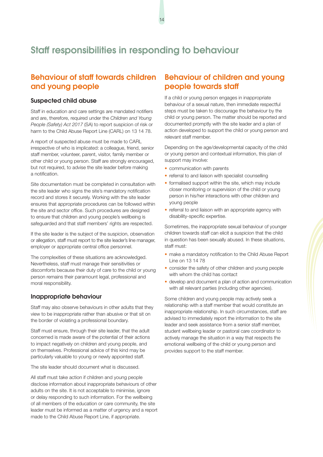# Staff responsibilities in responding to behaviour

# Behaviour of staff towards children and young people

#### Suspected child abuse

Staff in education and care settings are mandated notifiers and are, therefore, required under the *Children and Young People (Safety) Act 2017* (SA) to report suspicion of risk or harm to the Child Abuse Report Line (CARL) on 13 14 78.

A report of suspected abuse must be made to CARL irrespective of who is implicated: a colleague, friend, senior staff member, volunteer, parent, visitor, family member or other child or young person. Staff are strongly encouraged, but not required, to advise the site leader before making a notification.

Site documentation must be completed in consultation with the site leader who signs the site's mandatory notification record and stores it securely. Working with the site leader ensures that appropriate procedures can be followed within the site and sector office. Such procedures are designed to ensure that children and young people's wellbeing is safeguarded and that staff members' rights are respected.

If the site leader is the subject of the suspicion, observation or allegation, staff must report to the site leader's line manager, employer or appropriate central office personnel.

The complexities of these situations are acknowledged. Nevertheless, staff must manage their sensitivities or discomforts because their duty of care to the child or young person remains their paramount legal, professional and moral responsibility.

#### Inappropriate behaviour

Staff may also observe behaviours in other adults that they view to be inappropriate rather than abusive or that sit on the border of violating a professional boundary.

Staff must ensure, through their site leader, that the adult concerned is made aware of the potential of their actions to impact negatively on children and young people, and on themselves. Professional advice of this kind may be particularly valuable to young or newly appointed staff.

The site leader should document what is discussed.

All staff must take action if children and young people disclose information about inappropriate behaviours of other adults on the site. It is not acceptable to minimise, ignore or delay responding to such information. For the wellbeing of all members of the education or care community, the site leader must be informed as a matter of urgency and a report made to the Child Abuse Report Line, if appropriate.

## Behaviour of children and young people towards staff

If a child or young person engages in inappropriate behaviour of a sexual nature, then immediate respectful steps must be taken to discourage the behaviour by the child or young person. The matter should be reported and documented promptly with the site leader and a plan of action developed to support the child or young person and relevant staff member.

Depending on the age/developmental capacity of the child or young person and contextual information, this plan of support may involve:

- communication with parents
- referral to and liaison with specialist counselling
- formalised support within the site, which may include closer monitoring or supervision of the child or young person in his/her interactions with other children and young people
- referral to and liaison with an appropriate agency with disability-specific expertise.

Sometimes, the inappropriate sexual behaviour of younger children towards staff can elicit a suspicion that the child in question has been sexually abused. In these situations, staff must:

- make a mandatory notification to the Child Abuse Report Line on 13 14 78
- consider the safety of other children and young people with whom the child has contact
- develop and document a plan of action and communication with all relevant parties (including other agencies).

Some children and young people may actively seek a relationship with a staff member that would constitute an inappropriate relationship. In such circumstances, staff are advised to immediately report the information to the site leader and seek assistance from a senior staff member, student wellbeing leader or pastoral care coordinator to actively manage the situation in a way that respects the emotional wellbeing of the child or young person and provides support to the staff member.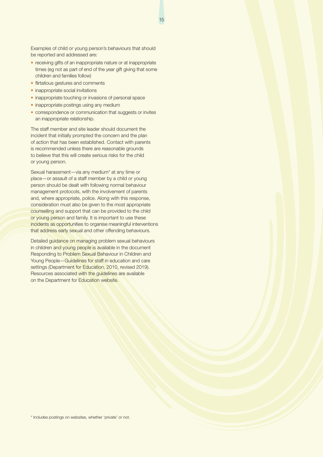Examples of child or young person's behaviours that should be reported and addressed are:

- receiving gifts of an inappropriate nature or at inappropriate times (eg not as part of end of the year gift giving that some children and families follow)
- flirtatious gestures and comments
- inappropriate social invitations
- inappropriate touching or invasions of personal space
- inappropriate postings using any medium
- correspondence or communication that suggests or invites an inappropriate relationship.

The staff member and site leader should document the incident that initially prompted the concern and the plan of action that has been established. Contact with parents is recommended unless there are reasonable grounds to believe that this will create serious risks for the child or young person.

Sexual harassment—via any medium\* at any time or place—or assault of a staff member by a child or young person should be dealt with following normal behaviour management protocols, with the involvement of parents and, where appropriate, police. Along with this response, consideration must also be given to the most appropriate counselling and support that can be provided to the child or young person and family. It is important to use these incidents as opportunities to organise meaningful interventions that address early sexual and other offending behaviours.

Detailed guidance on managing problem sexual behaviours in children and young people is available in the document Responding to Problem Sexual Behaviour in Children and Young People—Guidelines for staff in education and care settings (Department for Education, 2010, revised 2019). Resources associated with the guidelines are available on the Department for Education website.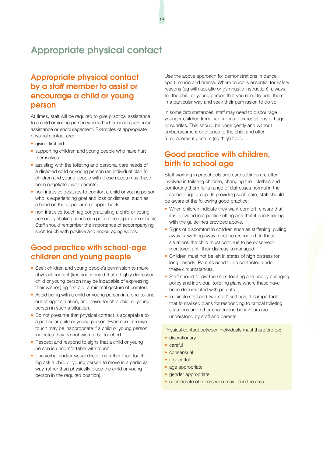# Appropriate physical contact

# Appropriate physical contact by a staff member to assist or encourage a child or young person

At times, staff will be required to give practical assistance to a child or young person who is hurt or needs particular assistance or encouragement. Examples of appropriate physical contact are:

- giving first aid
- supporting children and young people who have hurt themselves
- assisting with the toileting and personal care needs of a disabled child or young person (an individual plan for children and young people with these needs must have been negotiated with parents)
- non-intrusive gestures to comfort a child or young person who is experiencing grief and loss or distress, such as a hand on the upper arm or upper back
- non-intrusive touch (eg congratulating a child or young person by shaking hands or a pat on the upper arm or back). Staff should remember the importance of accompanying such touch with positive and encouraging words.

# Good practice with school-age children and young people

- Seek children and young people's permission to make physical contact (keeping in mind that a highly distressed child or young person may be incapable of expressing their wishes) eg first aid, a minimal gesture of comfort.
- Avoid being with a child or young person in a one-to-one, out of sight situation, and never touch a child or young person in such a situation.
- Do not presume that physical contact is acceptable to a particular child or young person. Even non-intrusive touch may be inappropriate if a child or young person indicates they do not wish to be touched.
- Respect and respond to signs that a child or young person is uncomfortable with touch.
- Use verbal and/or visual directions rather than touch (eg ask a child or young person to move in a particular way, rather than physically place the child or young person in the required position).

Use the above approach for demonstrations in dance, sport, music and drama. Where touch is essential for safety reasons (eg with aquatic or gymnastic instruction), always tell the child or young person that you need to hold them in a particular way and seek their permission to do so.

In some circumstances, staff may need to discourage younger children from inappropriate expectations of hugs or cuddles. This should be done gently and without embarrassment or offence to the child and offer a replacement gesture (eg 'high five').

# Good practice with children, birth to school age

Staff working in preschools and care settings are often involved in toileting children, changing their clothes and comforting them for a range of distresses normal in the preschool age group. In providing such care, staff should be aware of the following good practice:

- When children indicate they want comfort, ensure that it is provided in a public setting and that it is in keeping with the guidelines provided above.
- Signs of discomfort in children such as stiffening, pulling away or walking away must be respected. In these situations the child must continue to be observed/ monitored until their distress is managed.
- Children must not be left in states of high distress for long periods. Parents need to be contacted under these circumstances.
- Staff should follow the site's toileting and nappy changing policy and individual toileting plans where these have been documented with parents.
- In 'single staff and two-staff' settings, it is important that formalised plans for responding to critical toileting situations and other challenging behaviours are understood by staff and parents.

Physical contact between individuals must therefore be:

- discretionary
- careful
- consensual
- respectful
	- age appropriate
	- gender appropriate
	- considerate of others who may be in the area.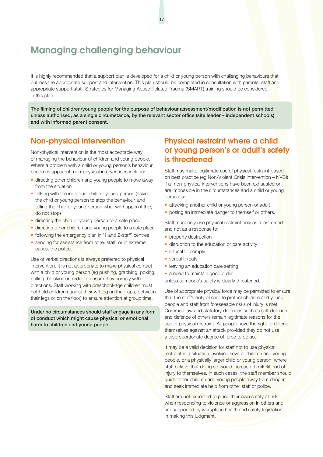# Managing challenging behaviour

It is highly recommended that a support plan is developed for a child or young person with challenging behaviours that outlines the appropriate support and intervention. This plan should be completed in consultation with parents, staff and appropriate support staff. Strategies for Managing Abuse Related Trauma (SMART) training should be considered in this plan.

The filming of children/young people for the purpose of behaviour assessment/modification is not permitted unless authorised, as a single circumstance, by the relevant sector office (site leader – independent schools) and with informed parent consent.

## Non-physical intervention

Non-physical intervention is the most acceptable way of managing the behaviour of children and young people. Where a problem with a child or young person's behaviour becomes apparent, non-physical interventions include:

- directing other children and young people to move away from the situation
- talking with the individual child or young person (asking the child or young person to stop the behaviour, and telling the child or young person what will happen if they do not stop)
- directing the child or young person to a safe place
- directing other children and young people to a safe place
- following the emergency plan in '1 and 2-staff' centres
- sending for assistance from other staff, or in extreme cases, the police.

Use of verbal directions is always preferred to physical intervention. It is not appropriate to make physical contact with a child or young person (eg pushing, grabbing, poking, pulling, blocking) in order to ensure they comply with directions. Staff working with preschool-age children must not hold children against their will (eg on their laps, between their legs or on the floor) to ensure attention at group time.

Under no circumstances should staff engage in any form of conduct which might cause physical or emotional harm to children and young people.

# Physical restraint where a child or young person's or adult's safety is threatened

Staff may make legitimate use of physical restraint based on best practice (eg Non-Violent Crisis Intervention – NVCI) if all non-physical interventions have been exhausted or are impossible in the circumstances and a child or young person is:

- attacking another child or young person or adult
- posing an immediate danger to themself or others.

Staff must only use physical restraint only as a last resort and not as a response to:

- property destruction
- disruption to the education or care activity
- refusal to comply
- verbal threats
- leaving an education care setting
- a need to maintain good order

unless someone's safety is clearly threatened.

Use of appropriate physical force may be permitted to ensure that the staff's duty of care to protect children and young people and staff from foreseeable risks of injury is met. Common law and statutory defences such as self-defence and defence of others remain legitimate reasons for the use of physical restraint. All people have the right to defend themselves against an attack provided they do not use a disproportionate degree of force to do so.

It may be a valid decision for staff not to use physical restraint in a situation involving several children and young people, or a physically larger child or young person, where staff believe that doing so would increase the likelihood of injury to themselves. In such cases, the staff member should guide other children and young people away from danger and seek immediate help from other staff or police.

Staff are not expected to place their own safety at risk when responding to violence or aggression in others and are supported by workplace health and safety legislation in making this judgment.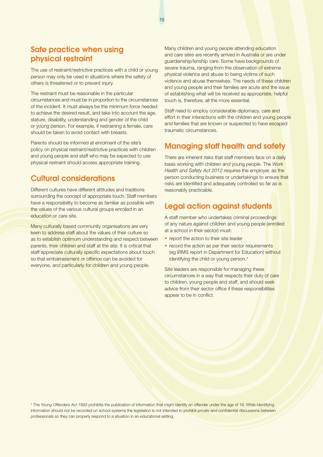# Safe practice when using physical restraint

The use of restraint/restrictive practices with a child or young person may only be used in situations where the safety of others is threatened or to prevent injury.

The restraint must be reasonable in the particular circumstances and must be in proportion to the circumstances of the incident. It must always be the minimum force needed to achieve the desired result, and take into account the age, stature, disability, understanding and gender of the child or young person. For example, if restraining a female, care should be taken to avoid contact with breasts.

Parents should be informed at enrolment of the site's policy on physical restraint/restrictive practices with children and young people and staff who may be expected to use physical restraint should access appropriate training.

# Cultural considerations

Different cultures have different attitudes and traditions surrounding the concept of appropriate touch. Staff members have a responsibility to become as familiar as possible with the values of the various cultural groups enrolled in an education or care site.

Many culturally based community organisations are very keen to address staff about the values of their culture so as to establish optimum understanding and respect between parents, their children and staff at the site. It is critical that staff appreciate culturally specific expectations about touch so that embarrassment or offence can be avoided for everyone, and particularly for children and young people.

Many children and young people attending education and care sites are recently arrived in Australia or are under guardianship/kinship care. Some have backgrounds of severe trauma, ranging from the observation of extreme physical violence and abuse to being victims of such violence and abuse themselves. The needs of these children and young people and their families are acute and the issue of establishing what will be received as appropriate, helpful touch is, therefore, all the more essential.

Staff need to employ considerable diplomacy, care and effort in their interactions with the children and young people and families that are known or suspected to have escaped traumatic circumstances.

# Managing staff health and safety

There are inherent risks that staff members face on a daily basis working with children and young people. The *Work Health and Safety Act 2012* requires the employer, as the person conducting business or undertakings to ensure that risks are identified and adequately controlled so far as is reasonably practicable.

# Legal action against students

A staff member who undertakes criminal proceedings of any nature against children and young people (enrolled at a school in their sector) must:

- report the action to their site leader
- record the action as per their sector requirements (eg IRMS report in Department for Education) without identifying the child or young person.\*

Site leaders are responsible for managing these circumstances in a way that respects their duty of care to children, young people and staff, and should seek advice from their sector office if these responsibilities appear to be in conflict.

\* The *Young Offenders Act 1993* prohibits the publication of information that might identify an offender under the age of 18. While identifying information should not be recorded on school systems the legislation is not intended to prohibit private and confidential discussions between professionals so they can properly respond to a situation in an educational setting.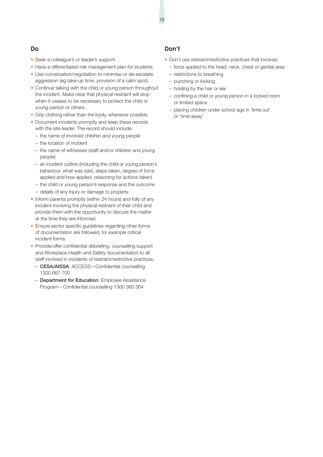19

#### Do

- Seek a colleague's or leader's support.
- Have a differentiated risk management plan for students.
- Use conversation/negotiation to minimise or de-escalate aggression (eg take-up time, provision of a calm spot).
- Continue talking with the child or young person throughout the incident. Make clear that physical restraint will stop when it ceases to be necessary to protect the child or young person or others.
- Grip clothing rather than the body, whenever possible.
- Document incidents promptly and keep these records with the site leader. The record should include:
	- the name of involved children and young people
	- the location of incident
	- the name of witnesses (staff and/or children and young people)
	- an incident outline (including the child or young person's behaviour, what was said, steps taken, degree of force applied and how applied, reasoning for actions taken)
	- the child or young person's response and the outcome – details of any injury or damage to property.
- Inform parents promptly (within 24 hours) and fully of any incident involving the physical restraint of their child and provide them with the opportunity to discuss the matter at the time they are informed.
- Ensure sector specific guidelines regarding other forms of documentation are followed, for example critical incident forms.
- Provide/offer confidential debriefing, counselling support and Workplace Health and Safety documentation to all staff involved in incidents of restraint/restrictive practices.
	- CESA/AISSA: ACCESS—Confidential counselling 1300 667 700
	- Department for Education: Employee Assistance Program—Confidential counselling 1300 360 364

#### Don't

- Don't use restraint/restrictive practices that involves:
	- force applied to the head, neck, chest or genital area
	- restrictions to breathing
	- punching or kicking
	- holding by the hair or ear
	- confining a child or young person in a locked room or limited space
	- placing children under school age in 'time out' or 'time away'.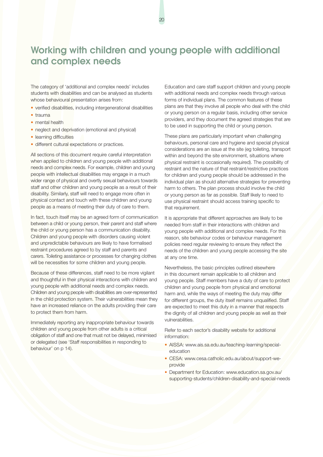# Working with children and young people with additional and complex needs

The category of 'additional and complex needs' includes students with disabilities and can be analysed as students whose behavioural presentation arises from:

- verified disabilities, including intergenerational disabilities
- trauma
- mental health
- neglect and deprivation (emotional and physical)
- learning difficulties
- different cultural expectations or practices.

All sections of this document require careful interpretation when applied to children and young people with additional needs and complex needs. For example, children and young people with intellectual disabilities may engage in a much wider range of physical and overtly sexual behaviours towards staff and other children and young people as a result of their disability. Similarly, staff will need to engage more often in physical contact and touch with these children and young people as a means of meeting their duty of care to them.

In fact, touch itself may be an agreed form of communication between a child or young person, their parent and staff where the child or young person has a communication disability. Children and young people with disorders causing violent and unpredictable behaviours are likely to have formalised restraint procedures agreed to by staff and parents and carers. Toileting assistance or processes for changing clothes will be necessities for some children and young people.

Because of these differences, staff need to be more vigilant and thoughtful in their physical interactions with children and young people with additional needs and complex needs. Children and young people with disabilities are over-represented in the child protection system. Their vulnerabilities mean they have an increased reliance on the adults providing their care to protect them from harm.

Immediately reporting any inappropriate behaviour towards children and young people from other adults is a critical obligation of staff and one that must not be delayed, minimised or delegated (see 'Staff responsibilities in responding to behaviour' on p 14).

Education and care staff support children and young people with additional needs and complex needs through various forms of individual plans. The common features of these plans are that they involve all people who deal with the child or young person on a regular basis, including other service providers, and they document the agreed strategies that are to be used in supporting the child or young person.

These plans are particularly important when challenging behaviours, personal care and hygiene and special physical considerations are an issue at the site (eg toileting, transport within and beyond the site environment, situations where physical restraint is occasionally required). The possibility of restraint and the nature of that restraint/restrictive practices for children and young people should be addressed in the individual plan as should alternative strategies for preventing harm to others. The plan process should involve the child or young person as far as possible. Staff likely to need to use physical restraint should access training specific to that requirement.

It is appropriate that different approaches are likely to be needed from staff in their interactions with children and young people with additional and complex needs. For this reason, site behaviour codes or behaviour management policies need regular reviewing to ensure they reflect the needs of the children and young people accessing the site at any one time.

Nevertheless, the basic principles outlined elsewhere in this document remain applicable to all children and young people. Staff members have a duty of care to protect children and young people from physical and emotional harm and, while the ways of meeting the duty may differ for different groups, the duty itself remains unqualified. Staff are expected to meet this duty in a manner that respects the dignity of all children and young people as well as their vulnerabilities.

Refer to each sector's disability website for additional information:

- AISSA: [www.ais.sa.edu.au/teaching-learning/special](www.ais.sa.edu.au/teaching-learning/special-education)[education](www.ais.sa.edu.au/teaching-learning/special-education)
- CESA: [www.cesa.catholic.edu.au/about/support-we](www.cesa.catholic.edu.au/about/support-we-provide)[provide](www.cesa.catholic.edu.au/about/support-we-provide)
- Department for Education: [www.education.sa.gov.au/](www.education.sa.gov.au/supporting-students/children-disability-and-special-needs) [supporting-students/children-disability-and-special-needs](www.education.sa.gov.au/supporting-students/children-disability-and-special-needs)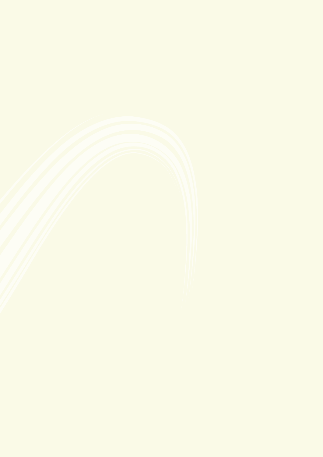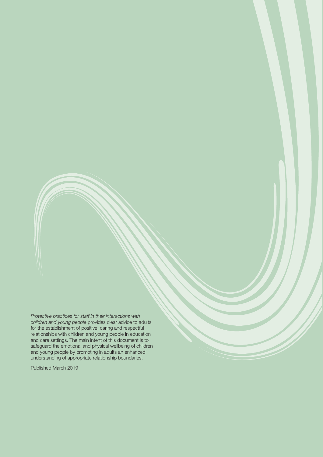*Protective practices for staff in their interactions with children and young people* provides clear advice to adults for the establishment of positive, caring and respectful relationships with children and young people in education and care settings. The main intent of this document is to safeguard the emotional and physical wellbeing of children and young people by promoting in adults an enhanced understanding of appropriate relationship boundaries.

Published March 2019